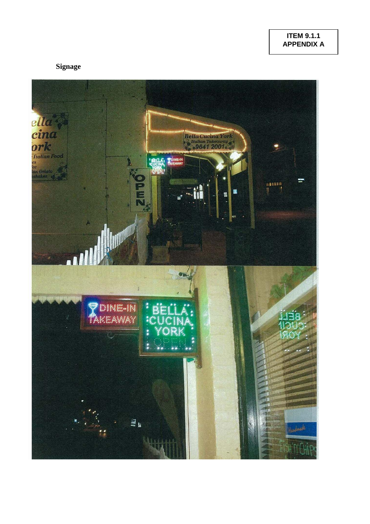## **Signage**

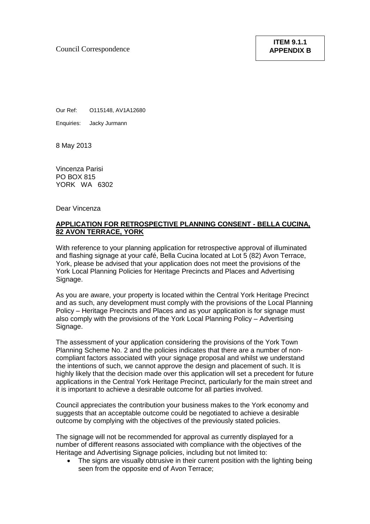Council Correspondence

Our Ref: O115148, AV1A12680

Enquiries: Jacky Jurmann

8 May 2013

Vincenza Parisi PO BOX 815 YORK WA 6302

Dear Vincenza

## **APPLICATION FOR RETROSPECTIVE PLANNING CONSENT - BELLA CUCINA, 82 AVON TERRACE, YORK**

With reference to your planning application for retrospective approval of illuminated and flashing signage at your café, Bella Cucina located at Lot 5 (82) Avon Terrace, York, please be advised that your application does not meet the provisions of the York Local Planning Policies for Heritage Precincts and Places and Advertising Signage.

As you are aware, your property is located within the Central York Heritage Precinct and as such, any development must comply with the provisions of the Local Planning Policy – Heritage Precincts and Places and as your application is for signage must also comply with the provisions of the York Local Planning Policy – Advertising Signage.

The assessment of your application considering the provisions of the York Town Planning Scheme No. 2 and the policies indicates that there are a number of noncompliant factors associated with your signage proposal and whilst we understand the intentions of such, we cannot approve the design and placement of such. It is highly likely that the decision made over this application will set a precedent for future applications in the Central York Heritage Precinct, particularly for the main street and it is important to achieve a desirable outcome for all parties involved.

Council appreciates the contribution your business makes to the York economy and suggests that an acceptable outcome could be negotiated to achieve a desirable outcome by complying with the objectives of the previously stated policies.

The signage will not be recommended for approval as currently displayed for a number of different reasons associated with compliance with the objectives of the Heritage and Advertising Signage policies, including but not limited to:

The signs are visually obtrusive in their current position with the lighting being seen from the opposite end of Avon Terrace;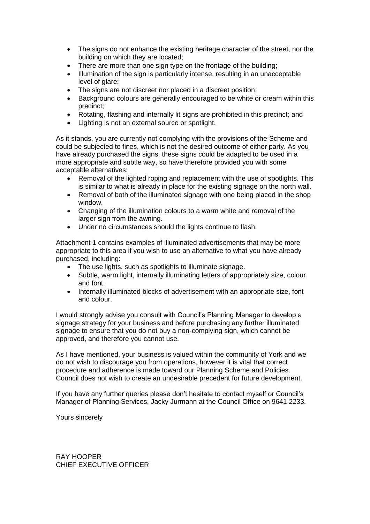- The signs do not enhance the existing heritage character of the street, nor the building on which they are located;
- There are more than one sign type on the frontage of the building:
- Illumination of the sign is particularly intense, resulting in an unacceptable level of glare;
- The signs are not discreet nor placed in a discreet position;
- Background colours are generally encouraged to be white or cream within this precinct;
- Rotating, flashing and internally lit signs are prohibited in this precinct; and
- Lighting is not an external source or spotlight.

As it stands, you are currently not complying with the provisions of the Scheme and could be subjected to fines, which is not the desired outcome of either party. As you have already purchased the signs, these signs could be adapted to be used in a more appropriate and subtle way, so have therefore provided you with some acceptable alternatives:

- Removal of the lighted roping and replacement with the use of spotlights. This is similar to what is already in place for the existing signage on the north wall.
- Removal of both of the illuminated signage with one being placed in the shop window.
- Changing of the illumination colours to a warm white and removal of the larger sign from the awning.
- Under no circumstances should the lights continue to flash.

Attachment 1 contains examples of illuminated advertisements that may be more appropriate to this area if you wish to use an alternative to what you have already purchased, including:

- The use lights, such as spotlights to illuminate signage.
- Subtle, warm light, internally illuminating letters of appropriately size, colour and font.
- Internally illuminated blocks of advertisement with an appropriate size, font and colour.

I would strongly advise you consult with Council's Planning Manager to develop a signage strategy for your business and before purchasing any further illuminated signage to ensure that you do not buy a non-complying sign, which cannot be approved, and therefore you cannot use.

As I have mentioned, your business is valued within the community of York and we do not wish to discourage you from operations, however it is vital that correct procedure and adherence is made toward our Planning Scheme and Policies. Council does not wish to create an undesirable precedent for future development.

If you have any further queries please don't hesitate to contact myself or Council's Manager of Planning Services, Jacky Jurmann at the Council Office on 9641 2233.

Yours sincerely

RAY HOOPER CHIEF EXECUTIVE OFFICER